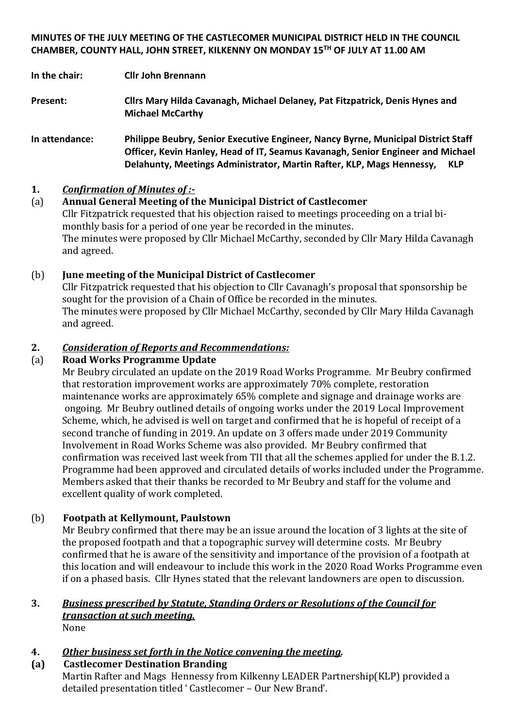### **MINUTES OF THE JULY MEETING OF THE CASTLECOMER MUNICIPAL DISTRICT HELD IN THE COUNCIL CHAMBER, COUNTY HALL, JOHN STREET, KILKENNY ON MONDAY 15 TH OF JULY AT 11.00 AM**

**In the chair: Cllr John Brennann**

**Present: Cllrs Mary Hilda Cavanagh, Michael Delaney, Pat Fitzpatrick, Denis Hynes and Michael McCarthy**

**In attendance: Philippe Beubry, Senior Executive Engineer, Nancy Byrne, Municipal District Staff Officer, Kevin Hanley, Head of IT, Seamus Kavanagh, Senior Engineer and Michael Delahunty, Meetings Administrator, Martin Rafter, KLP, Mags Hennessy, KLP**

## **1.** *Confirmation of Minutes of :-*

## (a) **Annual General Meeting of the Municipal District of Castlecomer**

Cllr Fitzpatrick requested that his objection raised to meetings proceeding on a trial bimonthly basis for a period of one year be recorded in the minutes. The minutes were proposed by Cllr Michael McCarthy, seconded by Cllr Mary Hilda Cavanagh and agreed.

## (b) **June meeting of the Municipal District of Castlecomer**

Cllr Fitzpatrick requested that his objection to Cllr Cavanagh's proposal that sponsorship be sought for the provision of a Chain of Office be recorded in the minutes. The minutes were proposed by Cllr Michael McCarthy, seconded by Cllr Mary Hilda Cavanagh and agreed.

## **2.** *Consideration of Reports and Recommendations:*

### (a) **Road Works Programme Update**

Mr Beubry circulated an update on the 2019 Road Works Programme. Mr Beubry confirmed that restoration improvement works are approximately 70% complete, restoration maintenance works are approximately 65% complete and signage and drainage works are ongoing. Mr Beubry outlined details of ongoing works under the 2019 Local Improvement Scheme, which, he advised is well on target and confirmed that he is hopeful of receipt of a second tranche of funding in 2019. An update on 3 offers made under 2019 Community Involvement in Road Works Scheme was also provided. Mr Beubry confirmed that confirmation was received last week from TII that all the schemes applied for under the B.1.2. Programme had been approved and circulated details of works included under the Programme. Members asked that their thanks be recorded to Mr Beubry and staff for the volume and excellent quality of work completed.

## (b) **Footpath at Kellymount, Paulstown**

Mr Beubry confirmed that there may be an issue around the location of 3 lights at the site of the proposed footpath and that a topographic survey will determine costs. Mr Beubry confirmed that he is aware of the sensitivity and importance of the provision of a footpath at this location and will endeavour to include this work in the 2020 Road Works Programme even if on a phased basis. Cllr Hynes stated that the relevant landowners are open to discussion.

#### **3.** *Business prescribed by Statute, Standing Orders or Resolutions of the Council for transaction at such meeting.* None

## **4.** *Other business set forth in the Notice convening the meeting.*

**(a) Castlecomer Destination Branding** Martin Rafter and Mags Hennessy from Kilkenny LEADER Partnership(KLP) provided a detailed presentation titled ' Castlecomer – Our New Brand'.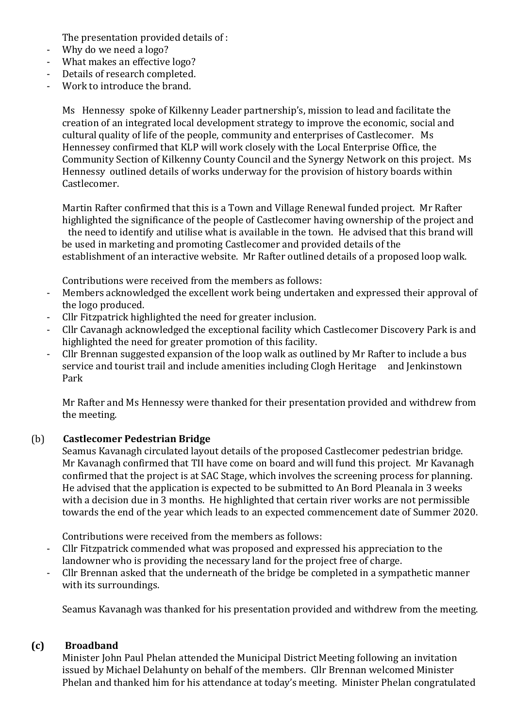The presentation provided details of :

- Why do we need a logo?
- What makes an effective logo?
- Details of research completed.
- Work to introduce the brand.

Ms Hennessy spoke of Kilkenny Leader partnership's, mission to lead and facilitate the creation of an integrated local development strategy to improve the economic, social and cultural quality of life of the people, community and enterprises of Castlecomer. Ms Hennessey confirmed that KLP will work closely with the Local Enterprise Office, the Community Section of Kilkenny County Council and the Synergy Network on this project. Ms Hennessy outlined details of works underway for the provision of history boards within Castlecomer.

Martin Rafter confirmed that this is a Town and Village Renewal funded project. Mr Rafter highlighted the significance of the people of Castlecomer having ownership of the project and

the need to identify and utilise what is available in the town. He advised that this brand will be used in marketing and promoting Castlecomer and provided details of the establishment of an interactive website. Mr Rafter outlined details of a proposed loop walk.

Contributions were received from the members as follows:

- Members acknowledged the excellent work being undertaken and expressed their approval of the logo produced.
- Cllr Fitzpatrick highlighted the need for greater inclusion.
- Cllr Cavanagh acknowledged the exceptional facility which Castlecomer Discovery Park is and highlighted the need for greater promotion of this facility.
- Cllr Brennan suggested expansion of the loop walk as outlined by Mr Rafter to include a bus service and tourist trail and include amenities including Clogh Heritage and Jenkinstown Park

Mr Rafter and Ms Hennessy were thanked for their presentation provided and withdrew from the meeting.

#### (b) **Castlecomer Pedestrian Bridge**

Seamus Kavanagh circulated layout details of the proposed Castlecomer pedestrian bridge. Mr Kavanagh confirmed that TII have come on board and will fund this project. Mr Kavanagh confirmed that the project is at SAC Stage, which involves the screening process for planning. He advised that the application is expected to be submitted to An Bord Pleanala in 3 weeks with a decision due in 3 months. He highlighted that certain river works are not permissible towards the end of the year which leads to an expected commencement date of Summer 2020.

Contributions were received from the members as follows:

- Cllr Fitzpatrick commended what was proposed and expressed his appreciation to the landowner who is providing the necessary land for the project free of charge.
- Cllr Brennan asked that the underneath of the bridge be completed in a sympathetic manner with its surroundings.

Seamus Kavanagh was thanked for his presentation provided and withdrew from the meeting.

#### **(c) Broadband**

Minister John Paul Phelan attended the Municipal District Meeting following an invitation issued by Michael Delahunty on behalf of the members. Cllr Brennan welcomed Minister Phelan and thanked him for his attendance at today's meeting. Minister Phelan congratulated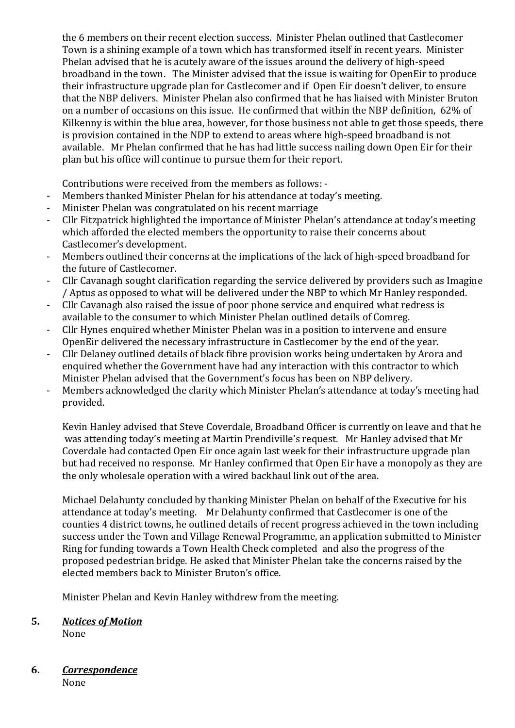the 6 members on their recent election success. Minister Phelan outlined that Castlecomer Town is a shining example of a town which has transformed itself in recent years. Minister Phelan advised that he is acutely aware of the issues around the delivery of high-speed broadband in the town. The Minister advised that the issue is waiting for OpenEir to produce their infrastructure upgrade plan for Castlecomer and if Open Eir doesn't deliver, to ensure that the NBP delivers. Minister Phelan also confirmed that he has liaised with Minister Bruton on a number of occasions on this issue. He confirmed that within the NBP definition, 62% of Kilkenny is within the blue area, however, for those business not able to get those speeds, there is provision contained in the NDP to extend to areas where high-speed broadband is not available. Mr Phelan confirmed that he has had little success nailing down Open Eir for their plan but his office will continue to pursue them for their report.

Contributions were received from the members as follows: -

- Members thanked Minister Phelan for his attendance at today's meeting.
- Minister Phelan was congratulated on his recent marriage
- Cllr Fitzpatrick highlighted the importance of Minister Phelan's attendance at today's meeting which afforded the elected members the opportunity to raise their concerns about Castlecomer's development.
- Members outlined their concerns at the implications of the lack of high-speed broadband for the future of Castlecomer.
- Cllr Cavanagh sought clarification regarding the service delivered by providers such as Imagine / Aptus as opposed to what will be delivered under the NBP to which Mr Hanley responded.
- Cllr Cavanagh also raised the issue of poor phone service and enquired what redress is available to the consumer to which Minister Phelan outlined details of Comreg.
- Cllr Hynes enquired whether Minister Phelan was in a position to intervene and ensure OpenEir delivered the necessary infrastructure in Castlecomer by the end of the year.
- Cllr Delaney outlined details of black fibre provision works being undertaken by Arora and enquired whether the Government have had any interaction with this contractor to which Minister Phelan advised that the Government's focus has been on NBP delivery.
- Members acknowledged the clarity which Minister Phelan's attendance at today's meeting had provided.

Kevin Hanley advised that Steve Coverdale, Broadband Officer is currently on leave and that he was attending today's meeting at Martin Prendiville's request. Mr Hanley advised that Mr Coverdale had contacted Open Eir once again last week for their infrastructure upgrade plan but had received no response. Mr Hanley confirmed that Open Eir have a monopoly as they are the only wholesale operation with a wired backhaul link out of the area.

Michael Delahunty concluded by thanking Minister Phelan on behalf of the Executive for his attendance at today's meeting. Mr Delahunty confirmed that Castlecomer is one of the counties 4 district towns, he outlined details of recent progress achieved in the town including success under the Town and Village Renewal Programme, an application submitted to Minister Ring for funding towards a Town Health Check completed and also the progress of the proposed pedestrian bridge. He asked that Minister Phelan take the concerns raised by the elected members back to Minister Bruton's office.

Minister Phelan and Kevin Hanley withdrew from the meeting.

## **5.** *Notices of Motion*

None

# **6.** *Correspondence*

None